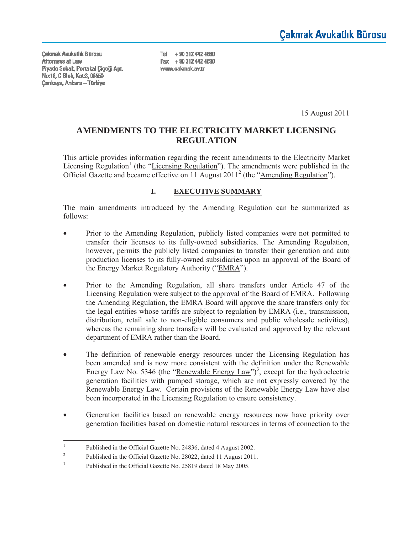**Cakmak Avukatlık Bürosu** Attorneys at Law Piyade Sokak, Portakal Çiçeği Apt. Nα 18, C Blok, Kat 3, 06550 **Çankaya, Ankara - Türkiye** 

Tel + 90 312 442 4680 Fax + 90 312 442 4690 www.cakmak.av.tr

15 August 2011

# **AMENDMENTS TO THE ELECTRICITY MARKET LICENSING REGULATION**

This article provides information regarding the recent amendments to the Electricity Market Licensing Regulation<sup>1</sup> (the "Licensing Regulation"). The amendments were published in the Official Gazette and became effective on 11 August 2011<sup>2</sup> (the "Amending Regulation").

## **I. EXECUTIVE SUMMARY**

The main amendments introduced by the Amending Regulation can be summarized as follows:

- Prior to the Amending Regulation, publicly listed companies were not permitted to transfer their licenses to its fully-owned subsidiaries. The Amending Regulation, however, permits the publicly listed companies to transfer their generation and auto production licenses to its fully-owned subsidiaries upon an approval of the Board of the Energy Market Regulatory Authority ("EMRA").
- Prior to the Amending Regulation, all share transfers under Article 47 of the Licensing Regulation were subject to the approval of the Board of EMRA. Following the Amending Regulation, the EMRA Board will approve the share transfers only for the legal entities whose tariffs are subject to regulation by EMRA (i.e., transmission, distribution, retail sale to non-eligible consumers and public wholesale activities), whereas the remaining share transfers will be evaluated and approved by the relevant department of EMRA rather than the Board.
- The definition of renewable energy resources under the Licensing Regulation has been amended and is now more consistent with the definition under the Renewable Energy Law No. 5346 (the "Renewable Energy Law")<sup>3</sup>, except for the hydroelectric generation facilities with pumped storage, which are not expressly covered by the Renewable Energy Law. Certain provisions of the Renewable Energy Law have also been incorporated in the Licensing Regulation to ensure consistency.
- Generation facilities based on renewable energy resources now have priority over generation facilities based on domestic natural resources in terms of connection to the

 $\frac{1}{1}$ Published in the Official Gazette No. 24836, dated 4 August 2002.

<sup>2</sup> Published in the Official Gazette No. 28022, dated 11 August 2011.

<sup>3</sup> Published in the Official Gazette No. 25819 dated 18 May 2005.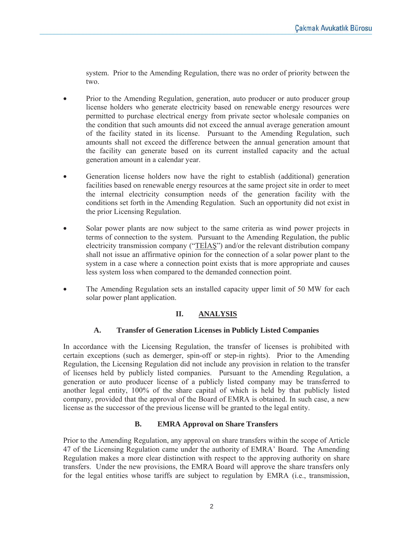system. Prior to the Amending Regulation, there was no order of priority between the two.

- Prior to the Amending Regulation, generation, auto producer or auto producer group license holders who generate electricity based on renewable energy resources were permitted to purchase electrical energy from private sector wholesale companies on the condition that such amounts did not exceed the annual average generation amount of the facility stated in its license. Pursuant to the Amending Regulation, such amounts shall not exceed the difference between the annual generation amount that the facility can generate based on its current installed capacity and the actual generation amount in a calendar year.
- Generation license holders now have the right to establish (additional) generation facilities based on renewable energy resources at the same project site in order to meet the internal electricity consumption needs of the generation facility with the conditions set forth in the Amending Regulation. Such an opportunity did not exist in the prior Licensing Regulation.
- Solar power plants are now subject to the same criteria as wind power projects in terms of connection to the system. Pursuant to the Amending Regulation, the public electricity transmission company (" $TEIAS$ ") and/or the relevant distribution company shall not issue an affirmative opinion for the connection of a solar power plant to the system in a case where a connection point exists that is more appropriate and causes less system loss when compared to the demanded connection point.
- The Amending Regulation sets an installed capacity upper limit of 50 MW for each solar power plant application.

## **II. ANALYSIS**

## **A. Transfer of Generation Licenses in Publicly Listed Companies**

In accordance with the Licensing Regulation, the transfer of licenses is prohibited with certain exceptions (such as demerger, spin-off or step-in rights). Prior to the Amending Regulation, the Licensing Regulation did not include any provision in relation to the transfer of licenses held by publicly listed companies. Pursuant to the Amending Regulation, a generation or auto producer license of a publicly listed company may be transferred to another legal entity, 100% of the share capital of which is held by that publicly listed company, provided that the approval of the Board of EMRA is obtained. In such case, a new license as the successor of the previous license will be granted to the legal entity.

### **B. EMRA Approval on Share Transfers**

Prior to the Amending Regulation, any approval on share transfers within the scope of Article 47 of the Licensing Regulation came under the authority of EMRA' Board. The Amending Regulation makes a more clear distinction with respect to the approving authority on share transfers. Under the new provisions, the EMRA Board will approve the share transfers only for the legal entities whose tariffs are subject to regulation by EMRA (i.e., transmission,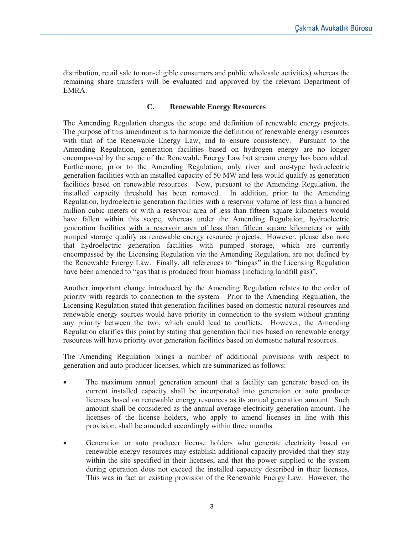distribution, retail sale to non-eligible consumers and public wholesale activities) whereas the remaining share transfers will be evaluated and approved by the relevant Department of EMRA.

## **C. Renewable Energy Resources**

The Amending Regulation changes the scope and definition of renewable energy projects. The purpose of this amendment is to harmonize the definition of renewable energy resources with that of the Renewable Energy Law, and to ensure consistency. Pursuant to the Amending Regulation, generation facilities based on hydrogen energy are no longer encompassed by the scope of the Renewable Energy Law but stream energy has been added. Furthermore, prior to the Amending Regulation, only river and arc-type hydroelectric generation facilities with an installed capacity of 50 MW and less would qualify as generation facilities based on renewable resources. Now, pursuant to the Amending Regulation, the installed capacity threshold has been removed. In addition, prior to the Amending Regulation, hydroelectric generation facilities with a reservoir volume of less than a hundred million cubic meters or with a reservoir area of less than fifteen square kilometers would have fallen within this scope, whereas under the Amending Regulation, hydroelectric generation facilities with a reservoir area of less than fifteen square kilometers or with pumped storage qualify as renewable energy resource projects. However, please also note that hydroelectric generation facilities with pumped storage, which are currently encompassed by the Licensing Regulation via the Amending Regulation, are not defined by the Renewable Energy Law. Finally, all references to "biogas" in the Licensing Regulation have been amended to "gas that is produced from biomass (including landfill gas)".

Another important change introduced by the Amending Regulation relates to the order of priority with regards to connection to the system. Prior to the Amending Regulation, the Licensing Regulation stated that generation facilities based on domestic natural resources and renewable energy sources would have priority in connection to the system without granting any priority between the two, which could lead to conflicts. However, the Amending Regulation clarifies this point by stating that generation facilities based on renewable energy resources will have priority over generation facilities based on domestic natural resources.

The Amending Regulation brings a number of additional provisions with respect to generation and auto producer licenses, which are summarized as follows:

- The maximum annual generation amount that a facility can generate based on its current installed capacity shall be incorporated into generation or auto producer licenses based on renewable energy resources as its annual generation amount. Such amount shall be considered as the annual average electricity generation amount. The licenses of the license holders, who apply to amend licenses in line with this provision, shall be amended accordingly within three months.
- Generation or auto producer license holders who generate electricity based on renewable energy resources may establish additional capacity provided that they stay within the site specified in their licenses, and that the power supplied to the system during operation does not exceed the installed capacity described in their licenses. This was in fact an existing provision of the Renewable Energy Law. However, the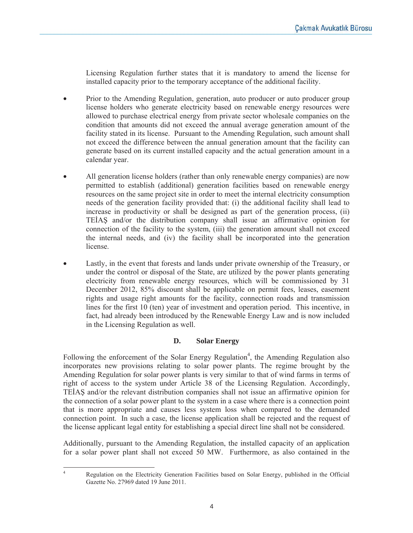Licensing Regulation further states that it is mandatory to amend the license for installed capacity prior to the temporary acceptance of the additional facility.

- Prior to the Amending Regulation, generation, auto producer or auto producer group license holders who generate electricity based on renewable energy resources were allowed to purchase electrical energy from private sector wholesale companies on the condition that amounts did not exceed the annual average generation amount of the facility stated in its license. Pursuant to the Amending Regulation, such amount shall not exceed the difference between the annual generation amount that the facility can generate based on its current installed capacity and the actual generation amount in a calendar year.
- All generation license holders (rather than only renewable energy companies) are now permitted to establish (additional) generation facilities based on renewable energy resources on the same project site in order to meet the internal electricity consumption needs of the generation facility provided that: (i) the additional facility shall lead to increase in productivity or shall be designed as part of the generation process, (ii) TEIAS and/or the distribution company shall issue an affirmative opinion for connection of the facility to the system, (iii) the generation amount shall not exceed the internal needs, and (iv) the facility shall be incorporated into the generation license.
- Lastly, in the event that forests and lands under private ownership of the Treasury, or under the control or disposal of the State, are utilized by the power plants generating electricity from renewable energy resources, which will be commissioned by 31 December 2012, 85% discount shall be applicable on permit fees, leases, easement rights and usage right amounts for the facility, connection roads and transmission lines for the first 10 (ten) year of investment and operation period. This incentive, in fact, had already been introduced by the Renewable Energy Law and is now included in the Licensing Regulation as well.

## **D. Solar Energy**

Following the enforcement of the Solar Energy Regulation<sup>4</sup>, the Amending Regulation also incorporates new provisions relating to solar power plants. The regime brought by the Amending Regulation for solar power plants is very similar to that of wind farms in terms of right of access to the system under Article 38 of the Licensing Regulation. Accordingly, TEIAS and/or the relevant distribution companies shall not issue an affirmative opinion for the connection of a solar power plant to the system in a case where there is a connection point that is more appropriate and causes less system loss when compared to the demanded connection point. In such a case, the license application shall be rejected and the request of the license applicant legal entity for establishing a special direct line shall not be considered.

Additionally, pursuant to the Amending Regulation, the installed capacity of an application for a solar power plant shall not exceed 50 MW. Furthermore, as also contained in the

 $\frac{1}{4}$ 

Regulation on the Electricity Generation Facilities based on Solar Energy, published in the Official Gazette No. 27969 dated 19 June 2011.